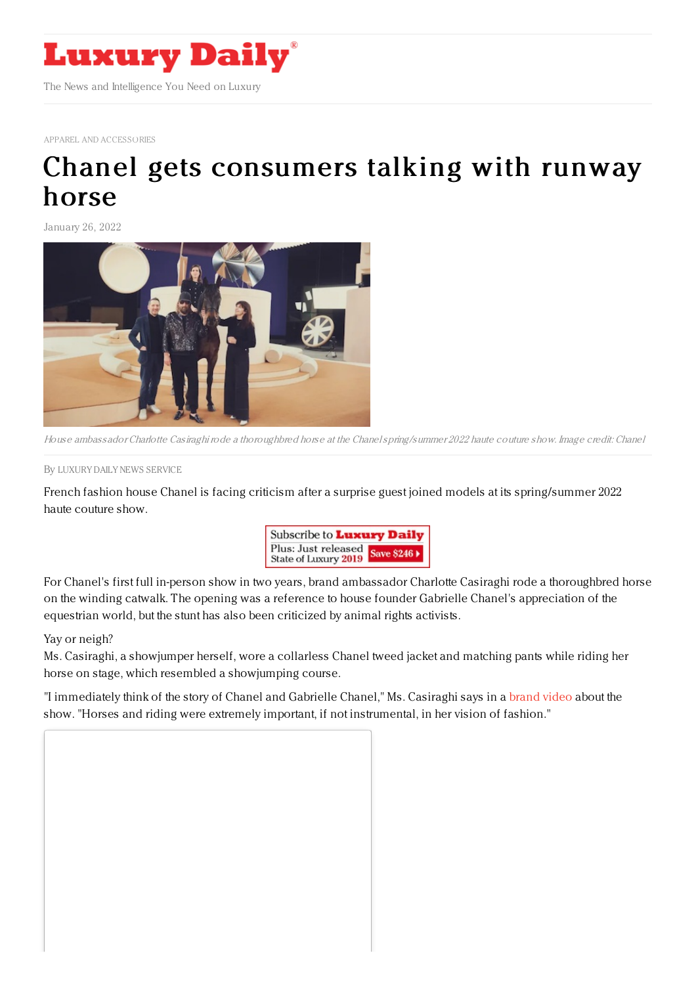

APPAREL AND [ACCESSORIES](https://www.luxurydaily.com/category/sectors/apparel-and-accessories/)

## Chanel gets [consumers](https://www.luxurydaily.com/chanel-charlotte-casiraghi-fashion-show-horse/) talking with runway horse

January 26, 2022



House ambassador Charlotte Casiraghirode <sup>a</sup> thoroughbred horse at the Chanelspring/summer 2022 haute couture show. Image credit: Chanel

By LUXURY DAILY NEWS [SERVICE](file:///author/luxury-daily-news-service)

French fashion house Chanel is facing criticism after a surprise guest joined models at its spring/summer 2022 haute couture show.



For Chanel's first full in-person show in two years, brand ambassador Charlotte Casiraghi rode a thoroughbred horse on the winding catwalk. The opening was a reference to house founder Gabrielle Chanel's appreciation of the equestrian world, but the stunt has also been criticized by animal rights activists.

Yay or neigh?

Ms. Casiraghi, a showjumper herself, wore a collarless Chanel tweed jacket and matching pants while riding her horse on stage, which resembled a showjumping course.

"I immediately think of the story of Chanel and Gabrielle Chanel," Ms. Casiraghi says in a [brand](https://youtu.be/iVLUfs32hZA?t=75) video about the show. "Horses and riding were extremely important, if not instrumental, in her vision of fashion."